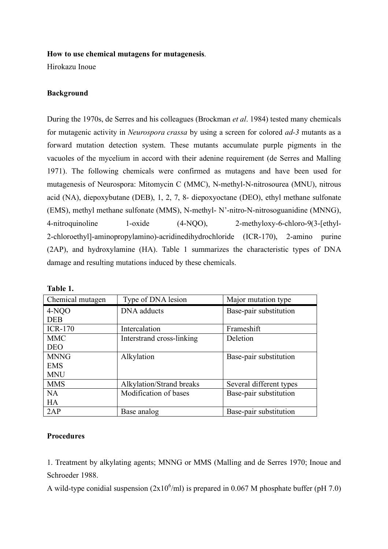#### **How to use chemical mutagens for mutagenesis**.

Hirokazu Inoue

# **Background**

During the 1970s, de Serres and his colleagues (Brockman *et al*. 1984) tested many chemicals for mutagenic activity in *Neurospora crassa* by using a screen for colored *ad-3* mutants as a forward mutation detection system. These mutants accumulate purple pigments in the vacuoles of the mycelium in accord with their adenine requirement (de Serres and Malling 1971). The following chemicals were confirmed as mutagens and have been used for mutagenesis of Neurospora: Mitomycin C (MMC), N-methyl-N-nitrosourea (MNU), nitrous acid (NA), diepoxybutane (DEB), 1, 2, 7, 8- diepoxyoctane (DEO), ethyl methane sulfonate (EMS), methyl methane sulfonate (MMS), N-methyl- N'-nitro-N-nitrosoguanidine (MNNG), 4-nitroquinoline 1-oxide (4-NQO), 2-methyloxy-6-chloro-9(3-[ethyl-2-chloroethyl]-aminopropylamino)-acridinedihydrochloride (ICR-170), 2-amino purine (2AP), and hydroxylamine (HA). Table 1 summarizes the characteristic types of DNA damage and resulting mutations induced by these chemicals.

| Chemical mutagen | Type of DNA lesion        | Major mutation type     |
|------------------|---------------------------|-------------------------|
| 4-NQO            | DNA adducts               | Base-pair substitution  |
| <b>DEB</b>       |                           |                         |
| $ICR-170$        | Intercalation             | Frameshift              |
| <b>MMC</b>       | Interstrand cross-linking | Deletion                |
| <b>DEO</b>       |                           |                         |
| <b>MNNG</b>      | Alkylation                | Base-pair substitution  |
| <b>EMS</b>       |                           |                         |
| <b>MNU</b>       |                           |                         |
| <b>MMS</b>       | Alkylation/Strand breaks  | Several different types |
| NA               | Modification of bases     | Base-pair substitution  |
| <b>HA</b>        |                           |                         |
| 2AP              | Base analog               | Base-pair substitution  |

### **Procedures**

1. Treatment by alkylating agents; MNNG or MMS (Malling and de Serres 1970; Inoue and Schroeder 1988.

A wild-type conidial suspension  $(2x10^6/\text{ml})$  is prepared in 0.067 M phosphate buffer (pH 7.0)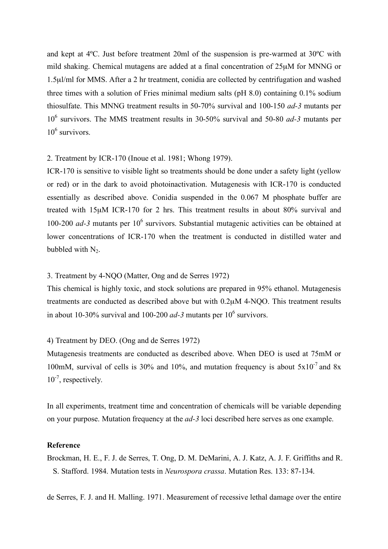and kept at 4ºC. Just before treatment 20ml of the suspension is pre-warmed at 30ºC with mild shaking. Chemical mutagens are added at a final concentration of 25µM for MNNG or 1.5µl/ml for MMS. After a 2 hr treatment, conidia are collected by centrifugation and washed three times with a solution of Fries minimal medium salts (pH 8.0) containing 0.1% sodium thiosulfate. This MNNG treatment results in 50-70% survival and 100-150 *ad-3* mutants per 106 survivors. The MMS treatment results in 30-50% survival and 50-80 *ad-3* mutants per  $10^6$  survivors.

### 2. Treatment by ICR-170 (Inoue et al. 1981; Whong 1979).

ICR-170 is sensitive to visible light so treatments should be done under a safety light (yellow or red) or in the dark to avoid photoinactivation. Mutagenesis with ICR-170 is conducted essentially as described above. Conidia suspended in the 0.067 M phosphate buffer are treated with 15µM ICR-170 for 2 hrs. This treatment results in about 80% survival and 100-200 *ad-3* mutants per 106 survivors. Substantial mutagenic activities can be obtained at lower concentrations of ICR-170 when the treatment is conducted in distilled water and bubbled with  $N_2$ .

# 3. Treatment by 4-NQO (Matter, Ong and de Serres 1972)

This chemical is highly toxic, and stock solutions are prepared in 95% ethanol. Mutagenesis treatments are conducted as described above but with 0.2µM 4-NQO. This treatment results in about 10-30% survival and 100-200  $ad-3$  mutants per  $10^6$  survivors.

### 4) Treatment by DEO. (Ong and de Serres 1972)

Mutagenesis treatments are conducted as described above. When DEO is used at 75mM or 100mM, survival of cells is 30% and 10%, and mutation frequency is about  $5x10^{-7}$  and 8x 10<sup>-7</sup>, respectively.

In all experiments, treatment time and concentration of chemicals will be variable depending on your purpose. Mutation frequency at the *ad-3* loci described here serves as one example.

#### **Reference**

Brockman, H. E., F. J. de Serres, T. Ong, D. M. DeMarini, A. J. Katz, A. J. F. Griffiths and R. S. Stafford. 1984. Mutation tests in *Neurospora crassa*. Mutation Res. 133: 87-134.

de Serres, F. J. and H. Malling. 1971. Measurement of recessive lethal damage over the entire